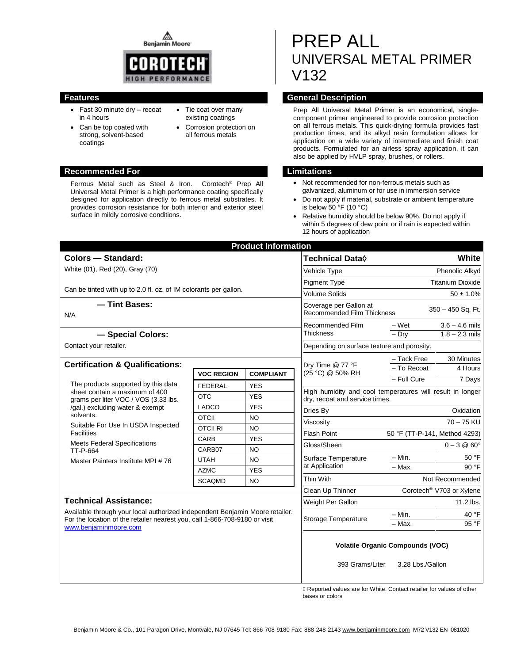**Benjamin Moore** 



- Fast 30 minute dry recoat in 4 hours
- Can be top coated with strong, solvent-based coatings
- Tie coat over many existing coatings
- Corrosion protection on all ferrous metals

#### **Recommended For Limitations**

Ferrous Metal such as Steel & Iron. Corotech® Prep All Universal Metal Primer is a high performance coating specifically designed for application directly to ferrous metal substrates. It provides corrosion resistance for both interior and exterior steel surface in mildly corrosive conditions.

# PREP ALL UNIVERSAL METAL PRIMER V132

#### **Features General Description**

Prep All Universal Metal Primer is an economical, singlecomponent primer engineered to provide corrosion protection on all ferrous metals. This quick-drying formula provides fast production times, and its alkyd resin formulation allows for application on a wide variety of intermediate and finish coat products. Formulated for an airless spray application, it can also be applied by HVLP spray, brushes, or rollers.

- Not recommended for non-ferrous metals such as galvanized, aluminum or for use in immersion service
- Do not apply if material, substrate or ambient temperature is below 50  $\degree$ F (10  $\degree$ C)
- Relative humidity should be below 90%. Do not apply if within 5 degrees of dew point or if rain is expected within 12 hours of application

| <b>Product Information</b>                                                                                              |                   |                  |                                                                                |                                                           |  |  |  |
|-------------------------------------------------------------------------------------------------------------------------|-------------------|------------------|--------------------------------------------------------------------------------|-----------------------------------------------------------|--|--|--|
| Colors - Standard:                                                                                                      |                   |                  | <b>Technical Data</b> ◊                                                        | White                                                     |  |  |  |
| White (01), Red (20), Gray (70)                                                                                         |                   |                  | <b>Vehicle Type</b>                                                            | Phenolic Alkyd                                            |  |  |  |
|                                                                                                                         |                   |                  | <b>Pigment Type</b>                                                            | <b>Titanium Dioxide</b>                                   |  |  |  |
| Can be tinted with up to 2.0 fl. oz. of IM colorants per gallon.                                                        |                   |                  | <b>Volume Solids</b>                                                           | $50 \pm 1.0\%$                                            |  |  |  |
| - Tint Bases:<br>N/A                                                                                                    |                   |                  | Coverage per Gallon at<br>350 - 450 Sq. Ft.<br>Recommended Film Thickness      |                                                           |  |  |  |
|                                                                                                                         |                   |                  | Recommended Film<br>Thickness                                                  | – Wet<br>$3.6 - 4.6$ mils                                 |  |  |  |
| - Special Colors:                                                                                                       |                   |                  |                                                                                | $1.8 - 2.3$ mils<br>$-$ Dry                               |  |  |  |
| Contact your retailer.                                                                                                  |                   |                  | Depending on surface texture and porosity.                                     |                                                           |  |  |  |
|                                                                                                                         |                   |                  |                                                                                | - Tack Free<br>30 Minutes                                 |  |  |  |
| <b>Certification &amp; Qualifications:</b>                                                                              | <b>VOC REGION</b> | <b>COMPLIANT</b> | Dry Time @ 77 °F<br>(25 °C) @ 50% RH                                           | - To Recoat<br>4 Hours                                    |  |  |  |
| The products supported by this data                                                                                     | <b>FEDERAL</b>    | <b>YES</b>       |                                                                                | - Full Cure<br>7 Days                                     |  |  |  |
| sheet contain a maximum of 400                                                                                          | <b>OTC</b>        | <b>YES</b>       |                                                                                | High humidity and cool temperatures will result in longer |  |  |  |
| grams per liter VOC / VOS (3.33 lbs.<br>/gal.) excluding water & exempt                                                 | LADCO             | <b>YES</b>       |                                                                                | dry, recoat and service times.                            |  |  |  |
| solvents.<br>Suitable For Use In USDA Inspected<br><b>Facilities</b><br><b>Meets Federal Specifications</b><br>TT-P-664 | <b>OTCII</b>      | <b>NO</b>        | Dries By                                                                       | Oxidation                                                 |  |  |  |
|                                                                                                                         | <b>OTCII RI</b>   | <b>NO</b>        | Viscositv                                                                      | $70 - 75$ KU                                              |  |  |  |
|                                                                                                                         | CARB              | <b>YES</b>       | <b>Flash Point</b>                                                             | 50 °F (TT-P-141, Method 4293)                             |  |  |  |
|                                                                                                                         | CARB07            | <b>NO</b>        | $0 - 3 @ 60^\circ$<br>Gloss/Sheen                                              |                                                           |  |  |  |
| Master Painters Institute MPI #76                                                                                       | <b>UTAH</b>       | <b>NO</b>        | Surface Temperature<br>at Application                                          | – Min.<br>50 °F                                           |  |  |  |
|                                                                                                                         | <b>AZMC</b>       | <b>YES</b>       |                                                                                | $-$ Max.<br>90°F                                          |  |  |  |
|                                                                                                                         | <b>SCAQMD</b>     | <b>NO</b>        | Thin With                                                                      | Not Recommended                                           |  |  |  |
|                                                                                                                         |                   |                  | Clean Up Thinner                                                               | Corotech <sup>®</sup> V703 or Xylene                      |  |  |  |
| <b>Technical Assistance:</b>                                                                                            |                   |                  | Weight Per Gallon                                                              | 11.2 lbs.                                                 |  |  |  |
| Available through your local authorized independent Benjamin Moore retailer.                                            |                   |                  | Storage Temperature                                                            | 40 °F<br>$- Min.$                                         |  |  |  |
| For the location of the retailer nearest you, call 1-866-708-9180 or visit<br>www.benjaminmoore.com                     |                   |                  |                                                                                | - Max.<br>95 °F                                           |  |  |  |
|                                                                                                                         |                   |                  | <b>Volatile Organic Compounds (VOC)</b><br>393 Grams/Liter<br>3.28 Lbs./Gallon |                                                           |  |  |  |
|                                                                                                                         |                   |                  |                                                                                |                                                           |  |  |  |

◊ Reported values are for White. Contact retailer for values of other bases or colors